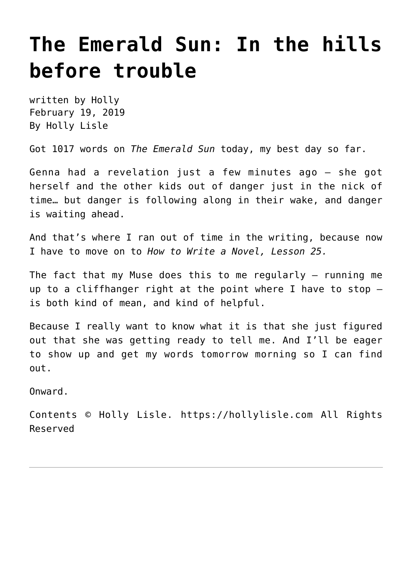# **[The Emerald Sun: In the hills](https://hollylisle.com/the-emerald-sun-in-the-hills-before-trouble/) [before trouble](https://hollylisle.com/the-emerald-sun-in-the-hills-before-trouble/)**

written by Holly February 19, 2019 [By Holly Lisle](https://hollylisle.com)

Got 1017 words on *The Emerald Sun* today, my best day so far.

Genna had a revelation just a few minutes ago — she got herself and the other kids out of danger just in the nick of time… but danger is following along in their wake, and danger is waiting ahead.

And that's where I ran out of time in the writing, because now I have to move on to *How to Write a Novel, Lesson 25.*

The fact that my Muse does this to me regularly — running me up to a cliffhanger right at the point where I have to stop is both kind of mean, and kind of helpful.

Because I really want to know what it is that she just figured out that she was getting ready to tell me. And I'll be eager to show up and get my words tomorrow morning so I can find out.

Onward.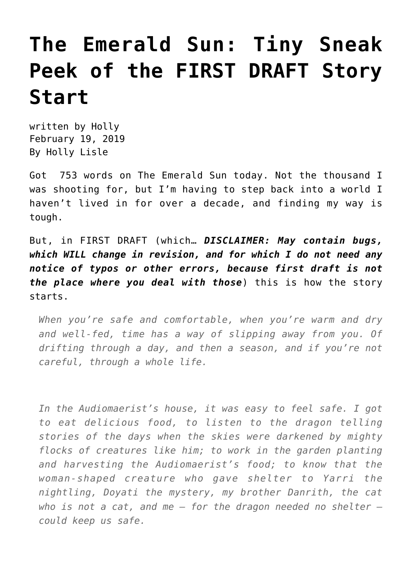# **[The Emerald Sun: Tiny Sneak](https://hollylisle.com/the-emerald-sun-tiny-sneak-peek-of-the-first-draft-story-start/) [Peek of the FIRST DRAFT Story](https://hollylisle.com/the-emerald-sun-tiny-sneak-peek-of-the-first-draft-story-start/) [Start](https://hollylisle.com/the-emerald-sun-tiny-sneak-peek-of-the-first-draft-story-start/)**

written by Holly February 19, 2019 [By Holly Lisle](https://hollylisle.com)

Got 753 words on The Emerald Sun today. Not the thousand I was shooting for, but I'm having to step back into a world I haven't lived in for over a decade, and finding my way is tough.

But, in FIRST DRAFT (which… *DISCLAIMER: May contain bugs, which WILL change in revision, and for which I do not need any notice of typos or other errors, because first draft is not the place where you deal with those*) this is how the story starts.

*When you're safe and comfortable, when you're warm and dry and well-fed, time has a way of slipping away from you. Of drifting through a day, and then a season, and if you're not careful, through a whole life.*

*In the Audiomaerist's house, it was easy to feel safe. I got to eat delicious food, to listen to the dragon telling stories of the days when the skies were darkened by mighty flocks of creatures like him; to work in the garden planting and harvesting the Audiomaerist's food; to know that the woman-shaped creature who gave shelter to Yarri the nightling, Doyati the mystery, my brother Danrith, the cat who is not a cat, and me — for the dragon needed no shelter could keep us safe.*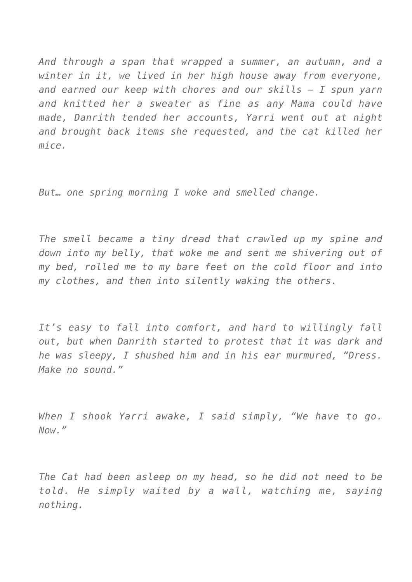*And through a span that wrapped a summer, an autumn, and a winter in it, we lived in her high house away from everyone, and earned our keep with chores and our skills — I spun yarn and knitted her a sweater as fine as any Mama could have made, Danrith tended her accounts, Yarri went out at night and brought back items she requested, and the cat killed her mice.*

*But… one spring morning I woke and smelled change.*

*The smell became a tiny dread that crawled up my spine and down into my belly, that woke me and sent me shivering out of my bed, rolled me to my bare feet on the cold floor and into my clothes, and then into silently waking the others.*

*It's easy to fall into comfort, and hard to willingly fall out, but when Danrith started to protest that it was dark and he was sleepy, I shushed him and in his ear murmured, "Dress. Make no sound."*

*When I shook Yarri awake, I said simply, "We have to go. Now."*

*The Cat had been asleep on my head, so he did not need to be told. He simply waited by a wall, watching me, saying nothing.*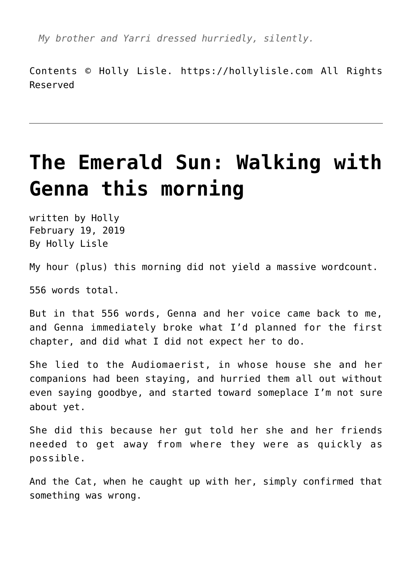*My brother and Yarri dressed hurriedly, silently.*

Contents © Holly Lisle. <https://hollylisle.com> All Rights Reserved

# **[The Emerald Sun: Walking with](https://hollylisle.com/the-emerald-sun-walking-with-genna-this-morning/) [Genna this morning](https://hollylisle.com/the-emerald-sun-walking-with-genna-this-morning/)**

written by Holly February 19, 2019 [By Holly Lisle](https://hollylisle.com)

My hour (plus) this morning did not yield a massive wordcount.

556 words total.

But in that 556 words, Genna and her voice came back to me, and Genna immediately broke what I'd planned for the first chapter, and did what I did not expect her to do.

She lied to the Audiomaerist, in whose house she and her companions had been staying, and hurried them all out without even saying goodbye, and started toward someplace I'm not sure about yet.

She did this because her gut told her she and her friends needed to get away from where they were as quickly as possible.

And the Cat, when he caught up with her, simply confirmed that something was wrong.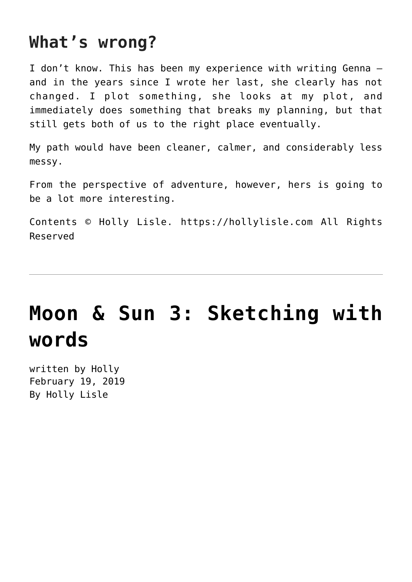#### **What's wrong?**

I don't know. This has been my experience with writing Genna and in the years since I wrote her last, she clearly has not changed. I plot something, she looks at my plot, and immediately does something that breaks my planning, but that still gets both of us to the right place eventually.

My path would have been cleaner, calmer, and considerably less messy.

From the perspective of adventure, however, hers is going to be a lot more interesting.

Contents © Holly Lisle. <https://hollylisle.com> All Rights Reserved

# **[Moon & Sun 3: Sketching with](https://hollylisle.com/moon-sun-3-sketching-with-words/) [words](https://hollylisle.com/moon-sun-3-sketching-with-words/)**

written by Holly February 19, 2019 [By Holly Lisle](https://hollylisle.com)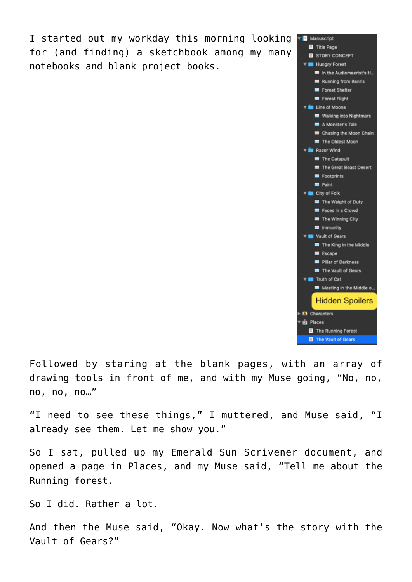I started out my workday this morning looking for (and finding) a sketchbook among my many notebooks and blank project books.



Followed by staring at the blank pages, with an array of drawing tools in front of me, and with my Muse going, "No, no, no, no, no…"

"I need to see these things," I muttered, and Muse said, "I already see them. Let me show you."

So I sat, pulled up my Emerald Sun Scrivener document, and opened a page in Places, and my Muse said, "Tell me about the Running forest.

So I did. Rather a lot.

And then the Muse said, "Okay. Now what's the story with the Vault of Gears?"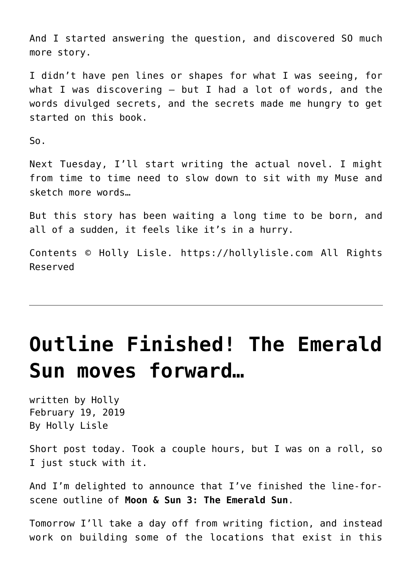And I started answering the question, and discovered SO much more story.

I didn't have pen lines or shapes for what I was seeing, for what I was discovering — but I had a lot of words, and the words divulged secrets, and the secrets made me hungry to get started on this book.

So.

Next Tuesday, I'll start writing the actual novel. I might from time to time need to slow down to sit with my Muse and sketch more words…

But this story has been waiting a long time to be born, and all of a sudden, it feels like it's in a hurry.

Contents © Holly Lisle. <https://hollylisle.com> All Rights Reserved

## **[Outline Finished! The Emerald](https://hollylisle.com/outline-finished-the-emerald-sun-moves-forward/) [Sun moves forward…](https://hollylisle.com/outline-finished-the-emerald-sun-moves-forward/)**

written by Holly February 19, 2019 [By Holly Lisle](https://hollylisle.com)

Short post today. Took a couple hours, but I was on a roll, so I just stuck with it.

And I'm delighted to announce that I've finished the line-forscene outline of **Moon & Sun 3: The Emerald Sun**.

Tomorrow I'll take a day off from writing fiction, and instead work on building some of the locations that exist in this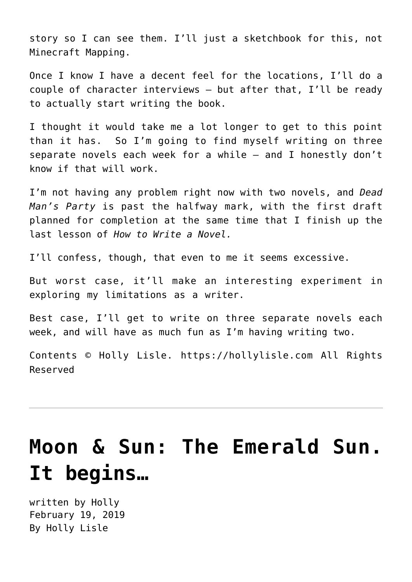story so I can see them. I'll just a sketchbook for this, not Minecraft Mapping.

Once I know I have a decent feel for the locations, I'll do a couple of character interviews — but after that, I'll be ready to actually start writing the book.

I thought it would take me a lot longer to get to this point than it has. So I'm going to find myself writing on three separate novels each week for a while — and I honestly don't know if that will work.

I'm not having any problem right now with two novels, and *Dead Man's Party* is past the halfway mark, with the first draft planned for completion at the same time that I finish up the last lesson of *[How to Write a Novel.](https://hollyswritingclasses.com/class/how-to-write-a-novel.html)*

I'll confess, though, that even to me it seems excessive.

But worst case, it'll make an interesting experiment in exploring my limitations as a writer.

Best case, I'll get to write on three separate novels each week, and will have as much fun as I'm having writing two.

Contents © Holly Lisle. <https://hollylisle.com> All Rights Reserved

# **[Moon & Sun: The Emerald Sun.](https://hollylisle.com/moon-sun-the-emerald-sun-it-begins/) [It begins…](https://hollylisle.com/moon-sun-the-emerald-sun-it-begins/)**

written by Holly February 19, 2019 [By Holly Lisle](https://hollylisle.com)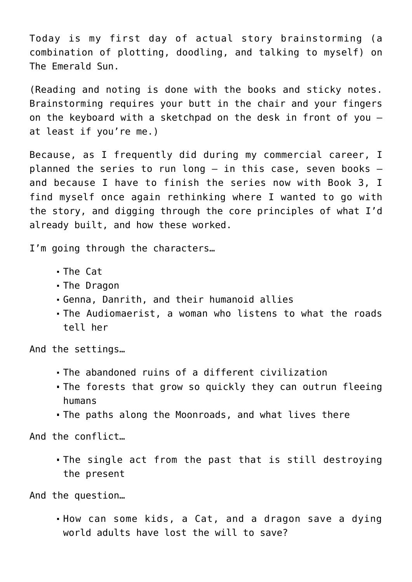Today is my first day of actual story brainstorming (a combination of plotting, doodling, and talking to myself) on The Emerald Sun.

(Reading and noting is done with the books and sticky notes. Brainstorming requires your butt in the chair and your fingers on the keyboard with a sketchpad on the desk in front of you at least if you're me.)

Because, as I frequently did during my commercial career, I planned the series to run long  $-$  in this case, seven books  $$ and because I have to finish the series now with Book 3, I find myself once again rethinking where I wanted to go with the story, and digging through the core principles of what I'd already built, and how these worked.

I'm going through the characters...

- The Cat
- The Dragon
- Genna, Danrith, and their humanoid allies
- The Audiomaerist, a woman who listens to what the roads tell her

And the settings…

- The abandoned ruins of a different civilization
- The forests that grow so quickly they can outrun fleeing humans
- The paths along the Moonroads, and what lives there

And the conflict…

The single act from the past that is still destroying the present

And the question…

How can some kids, a Cat, and a dragon save a dying world adults have lost the will to save?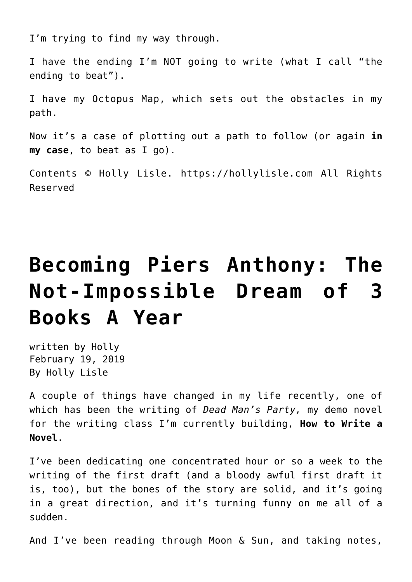I'm trying to find my way through.

I have the ending I'm NOT going to write (what I call "the ending to beat").

I have my Octopus Map, which sets out the obstacles in my path.

Now it's a case of plotting out a path to follow (or again **in my case**, to beat as I go).

Contents © Holly Lisle. <https://hollylisle.com> All Rights Reserved

# **[Becoming Piers Anthony: The](https://hollylisle.com/becoming-piers-anthony-the-not-impossible-dream-of-3-books-a-year/) [Not-Impossible Dream of 3](https://hollylisle.com/becoming-piers-anthony-the-not-impossible-dream-of-3-books-a-year/) [Books A Year](https://hollylisle.com/becoming-piers-anthony-the-not-impossible-dream-of-3-books-a-year/)**

written by Holly February 19, 2019 [By Holly Lisle](https://hollylisle.com)

A couple of things have changed in my life recently, one of which has been the writing of *Dead Man's Party,* my demo novel for the writing class I'm currently building, **How to Write a Novel**.

I've been dedicating one concentrated hour or so a week to the writing of the first draft (and a bloody awful first draft it is, too), but the bones of the story are solid, and it's going in a great direction, and it's turning funny on me all of a sudden.

And I've been reading through Moon & Sun, and taking notes,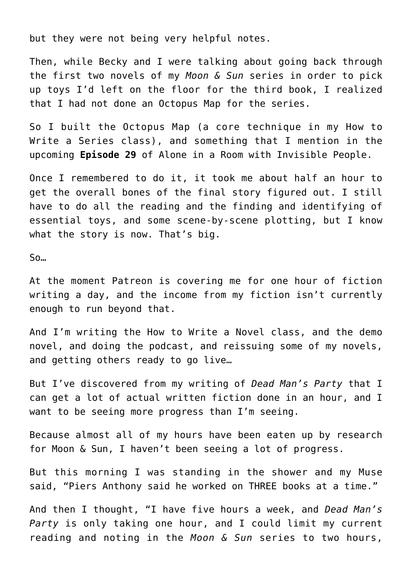but they were not being very helpful notes.

Then, while Becky and I were talking about going back through the first two novels of my *Moon & Sun* series in order to pick up toys I'd left on the floor for the third book, I realized that I had not done an Octopus Map for the series.

So I built the Octopus Map (a core technique in my [How to](https://hollyswritingclasses.com/go/how-to-write-a-series.html) [Write a Series](https://hollyswritingclasses.com/go/how-to-write-a-series.html) class), and something that I mention in the upcoming **Episode 29** of [Alone in a Room with Invisible People](https://alonewithinvisiblepeople.com).

Once I remembered to do it, it took me about half an hour to get the overall bones of the final story figured out. I still have to do all the reading and the finding and identifying of essential toys, and some scene-by-scene plotting, but I know what the story is now. That's big.

So…

At the moment Patreon is covering me for one hour of fiction writing a day, and the income from my fiction isn't currently enough to run beyond that.

And I'm writing the [How to Write a Novel](https://hollyswritingclasses.com/class/how-to-write-a-novel.html) class, and the demo novel, and doing the podcast, and reissuing some of my novels, and getting others ready to go live...

But I've discovered from my writing of *Dead Man's Party* that I can get a lot of actual written fiction done in an hour, and I want to be seeing more progress than I'm seeing.

Because almost all of my hours have been eaten up by research for Moon & Sun, I haven't been seeing a lot of progress.

But this morning I was standing in the shower and my Muse said, "Piers Anthony said he worked on THREE books at a time."

And then I thought, "I have five hours a week, and *Dead Man's Party* is only taking one hour, and I could limit my current reading and noting in the *Moon & Sun* series to two hours,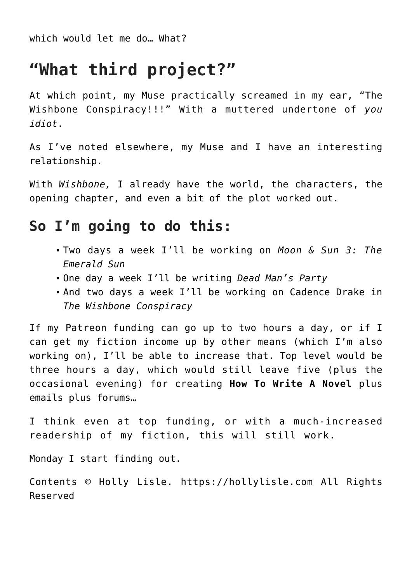which would let me do… What?

### **"What third project?"**

At which point, my Muse practically screamed in my ear, "The Wishbone Conspiracy!!!" With a muttered undertone of *you idiot*.

As I've noted elsewhere, my Muse and I have an interesting relationship.

With *Wishbone,* I already have the world, the characters, the opening chapter, and even a bit of the plot worked out.

#### **So I'm going to do this:**

- Two days a week I'll be working on *Moon & Sun 3: The Emerald Sun*
- One day a week I'll be writing *Dead Man's Party*
- And two days a week I'll be working on Cadence Drake in *The Wishbone Conspiracy*

If my Patreon funding can go up to two hours a day, or if I can get my fiction income up by other means (which I'm also working on), I'll be able to increase that. Top level would be three hours a day, which would still leave five (plus the occasional evening) for creating **How To Write A Novel** plus emails plus forums…

I think even at top funding, or with a much-increased readership of my fiction, this will still work.

Monday I start finding out.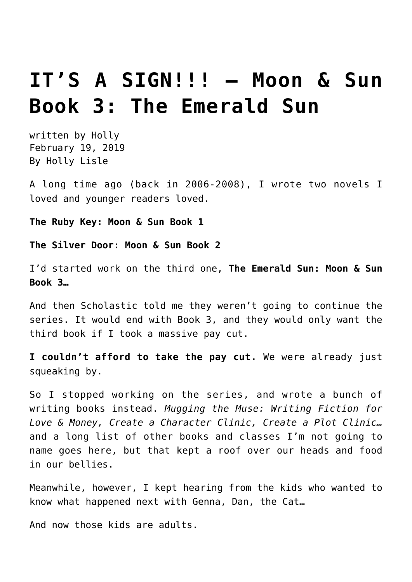## **[IT'S A SIGN!!! – Moon & Sun](https://hollylisle.com/its-a-sign-moon-sun-book-3-the-emerald-sun/) [Book 3: The Emerald Sun](https://hollylisle.com/its-a-sign-moon-sun-book-3-the-emerald-sun/)**

written by Holly February 19, 2019 [By Holly Lisle](https://hollylisle.com)

A long time ago (back in 2006-2008), I wrote two novels I loved and younger readers loved.

**The Ruby Key: Moon & Sun Book 1**

**The Silver Door: Moon & Sun Book 2**

I'd started work on the third one, **The Emerald Sun: Moon & Sun Book 3…**

And then Scholastic told me they weren't going to continue the series. It would end with Book 3, and they would only want the third book if I took a massive pay cut.

**I couldn't afford to take the pay cut.** We were already just squeaking by.

So I stopped working on the series, and wrote a bunch of writing books instead. *Mugging the Muse: Writing Fiction for Love & Money, Create a Character Clinic, Create a Plot Clinic…* and a long list of other books and classes I'm not going to name goes here, but that kept a roof over our heads and food in our bellies.

Meanwhile, however, I kept hearing from the kids who wanted to know what happened next with Genna, Dan, the Cat…

And now those kids are adults.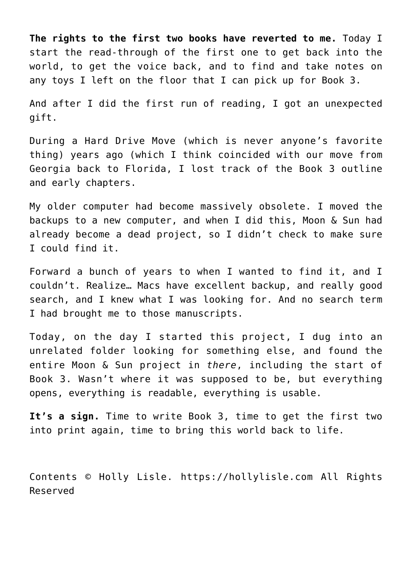**The rights to the first two books have reverted to me.** Today I start the read-through of the first one to get back into the world, to get the voice back, and to find and take notes on any toys I left on the floor that I can pick up for Book 3.

And after I did the first run of reading, I got an unexpected gift.

During a Hard Drive Move (which is never anyone's favorite thing) years ago (which I think coincided with our move from Georgia back to Florida, I lost track of the Book 3 outline and early chapters.

My older computer had become massively obsolete. I moved the backups to a new computer, and when I did this, Moon & Sun had already become a dead project, so I didn't check to make sure I could find it.

Forward a bunch of years to when I wanted to find it, and I couldn't. Realize… Macs have excellent backup, and really good search, and I knew what I was looking for. And no search term I had brought me to those manuscripts.

Today, on the day I started this project, I dug into an unrelated folder looking for something else, and found the entire Moon & Sun project in *there*, including the start of Book 3. Wasn't where it was supposed to be, but everything opens, everything is readable, everything is usable.

**It's a sign.** Time to write Book 3, time to get the first two into print again, time to bring this world back to life.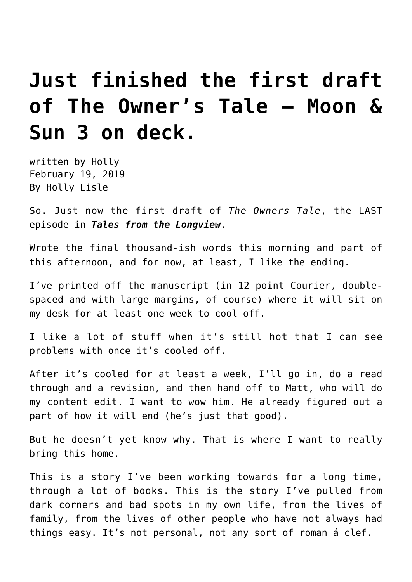# **[Just finished the first draft](https://hollylisle.com/just-finished-the-first-draft-of-the-owners-tale-moon-sun-3-on-deck/) [of The Owner's Tale — Moon &](https://hollylisle.com/just-finished-the-first-draft-of-the-owners-tale-moon-sun-3-on-deck/) [Sun 3 on deck.](https://hollylisle.com/just-finished-the-first-draft-of-the-owners-tale-moon-sun-3-on-deck/)**

written by Holly February 19, 2019 [By Holly Lisle](https://hollylisle.com)

So. Just now the first draft of *The Owners Tale*, the LAST episode in *Tales from the Longview*.

Wrote the final thousand-ish words this morning and part of this afternoon, and for now, at least, I like the ending.

I've printed off the manuscript (in 12 point Courier, doublespaced and with large margins, of course) where it will sit on my desk for at least one week to cool off.

I like a lot of stuff when it's still hot that I can see problems with once it's cooled off.

After it's cooled for at least a week, I'll go in, do a read through and a revision, and then hand off to Matt, who will do my content edit. I want to wow him. He already figured out a part of how it will end (he's just that good).

But he doesn't yet know why. That is where I want to really bring this home.

This is a story I've been working towards for a long time, through a lot of books. This is the story I've pulled from dark corners and bad spots in my own life, from the lives of family, from the lives of other people who have not always had things easy. It's not personal, not any sort of roman á clef.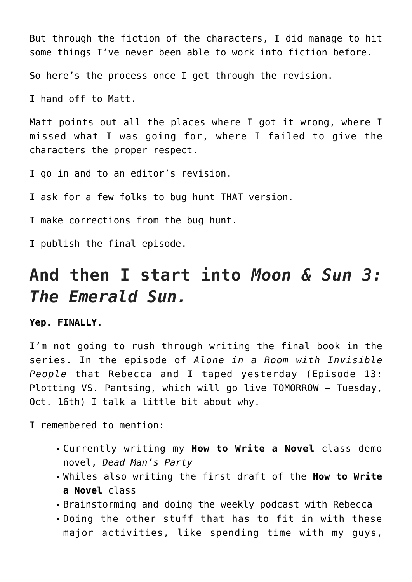But through the fiction of the characters, I did manage to hit some things I've never been able to work into fiction before.

So here's the process once I get through the revision.

I hand off to Matt.

Matt points out all the places where I got it wrong, where I missed what I was going for, where I failed to give the characters the proper respect.

I go in and to an editor's revision.

I ask for a few folks to bug hunt THAT version.

I make corrections from the bug hunt.

I publish the final episode.

### **And then I start into** *Moon & Sun 3: The Emerald Sun.*

**Yep. FINALLY.**

I'm not going to rush through writing the final book in the series. In the episode of *Alone in a Room with Invisible People* that Rebecca and I taped yesterday ([Episode 13:](https://www.alonewithinvisiblepeople.com) [Plotting VS. Pantsing, which will go live TOMORROW — Tuesday,](https://www.alonewithinvisiblepeople.com) [Oct. 16th\)](https://www.alonewithinvisiblepeople.com) I talk a little bit about why.

I remembered to mention:

- Currently writing my **[How to Write a Novel](https://howtowriteanovelclass.com)** [class](https://howtowriteanovelclass.com) demo novel, *Dead Man's Party*
- Whiles also writing the first draft of the **How to Write a Novel** class
- Brainstorming and doing the weekly podcast with Rebecca
- Doing the other stuff that has to fit in with these major activities, like spending time with my guys,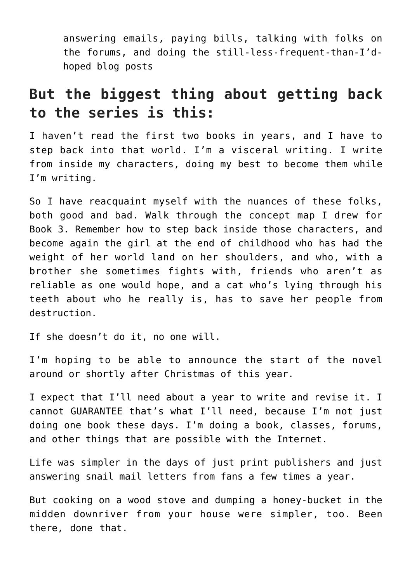answering emails, paying bills, talking with folks on the forums, and doing the still-less-frequent-than-I'dhoped blog posts

#### **But the biggest thing about getting back to the series is this:**

I haven't read the first two books in years, and I have to step back into that world. I'm a visceral writing. I write from inside my characters, doing my best to become them while I'm writing.

So I have reacquaint myself with the nuances of these folks, both good and bad. Walk through the concept map I drew for Book 3. Remember how to step back inside those characters, and become again the girl at the end of childhood who has had the weight of her world land on her shoulders, and who, with a brother she sometimes fights with, friends who aren't as reliable as one would hope, and a cat who's lying through his teeth about who he really is, has to save her people from destruction.

If she doesn't do it, no one will.

I'm hoping to be able to announce the start of the novel around or shortly after Christmas of this year.

I expect that I'll need about a year to write and revise it. I cannot GUARANTEE that's what I'll need, because I'm not just doing one book these days. I'm doing a book, classes, forums, and other things that are possible with the Internet.

Life was simpler in the days of just print publishers and just answering snail mail letters from fans a few times a year.

But cooking on a wood stove and dumping a honey-bucket in the midden downriver from your house were simpler, too. Been there, done that.